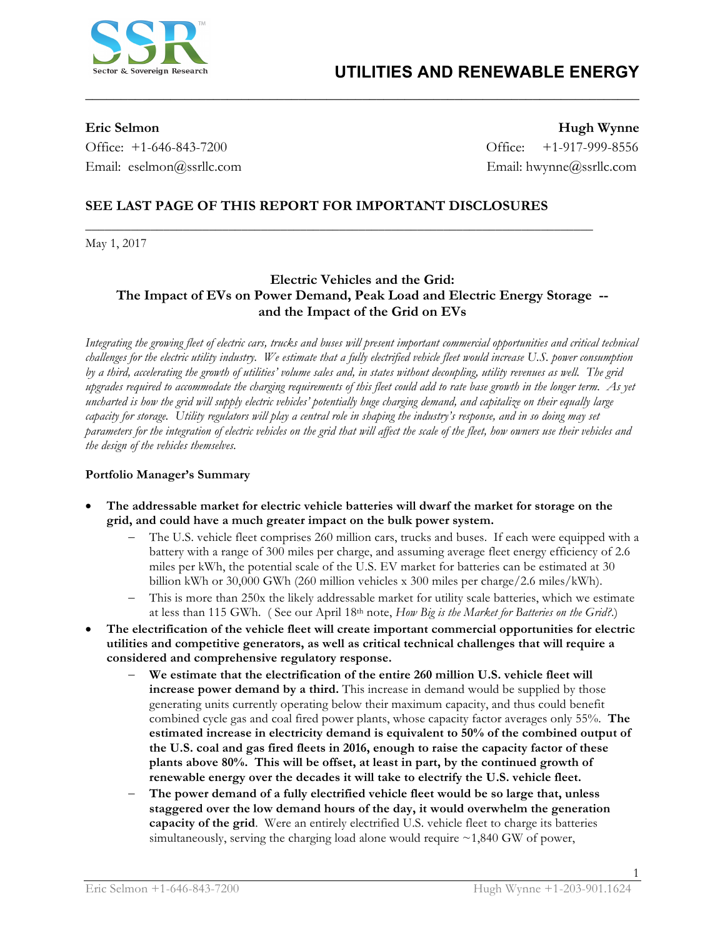

Office: +1-646-843-7200 Office: +1-917-999-8556 Email: eselmon@ssrllc.com Email: hwynne@ssrllc.com

**Eric Selmon Hugh Wynne**

# **SEE LAST PAGE OF THIS REPORT FOR IMPORTANT DISCLOSURES**

**\_\_\_\_\_\_\_\_\_\_\_\_\_\_\_\_\_\_\_\_\_\_\_\_\_\_\_\_\_\_\_\_\_\_\_\_\_\_\_\_\_\_\_\_\_\_\_\_\_\_\_\_\_\_\_\_\_\_\_\_\_\_\_\_\_\_\_\_\_\_\_\_\_\_\_\_\_\_**

May 1, 2017

# **Electric Vehicles and the Grid: The Impact of EVs on Power Demand, Peak Load and Electric Energy Storage - and the Impact of the Grid on EVs**

**\_\_\_\_\_\_\_\_\_\_\_\_\_\_\_\_\_\_\_\_\_\_\_\_\_\_\_\_\_\_\_\_\_\_\_\_\_\_\_\_\_\_\_\_\_\_\_\_\_\_\_\_\_\_\_\_\_\_\_\_\_\_\_\_\_\_\_\_\_\_\_\_\_\_\_\_\_\_** 

*Integrating the growing fleet of electric cars, trucks and buses will present important commercial opportunities and critical technical challenges for the electric utility industry. We estimate that a fully electrified vehicle fleet would increase U.S. power consumption by a third, accelerating the growth of utilities' volume sales and, in states without decoupling, utility revenues as well. The grid upgrades required to accommodate the charging requirements of this fleet could add to rate base growth in the longer term. As yet uncharted is how the grid will supply electric vehicles' potentially huge charging demand, and capitalize on their equally large capacity for storage. Utility regulators will play a central role in shaping the industry's response, and in so doing may set parameters for the integration of electric vehicles on the grid that will affect the scale of the fleet, how owners use their vehicles and the design of the vehicles themselves.*

### **Portfolio Manager's Summary**

- **The addressable market for electric vehicle batteries will dwarf the market for storage on the grid, and could have a much greater impact on the bulk power system.**
	- The U.S. vehicle fleet comprises 260 million cars, trucks and buses. If each were equipped with a battery with a range of 300 miles per charge, and assuming average fleet energy efficiency of 2.6 miles per kWh, the potential scale of the U.S. EV market for batteries can be estimated at 30 billion kWh or 30,000 GWh (260 million vehicles x 300 miles per charge/2.6 miles/kWh).
	- This is more than 250x the likely addressable market for utility scale batteries, which we estimate at less than 115 GWh. ( See our April 18th note, *How Big is the Market for Batteries on the Grid?*.)
- **The electrification of the vehicle fleet will create important commercial opportunities for electric utilities and competitive generators, as well as critical technical challenges that will require a considered and comprehensive regulatory response.**
	- We estimate that the electrification of the entire 260 million U.S. vehicle fleet will **increase power demand by a third.** This increase in demand would be supplied by those generating units currently operating below their maximum capacity, and thus could benefit combined cycle gas and coal fired power plants, whose capacity factor averages only 55%. **The estimated increase in electricity demand is equivalent to 50% of the combined output of the U.S. coal and gas fired fleets in 2016, enough to raise the capacity factor of these plants above 80%. This will be offset, at least in part, by the continued growth of renewable energy over the decades it will take to electrify the U.S. vehicle fleet.**
	- The power demand of a fully electrified vehicle fleet would be so large that, unless **staggered over the low demand hours of the day, it would overwhelm the generation capacity of the grid**. Were an entirely electrified U.S. vehicle fleet to charge its batteries simultaneously, serving the charging load alone would require  $\sim$ 1,840 GW of power,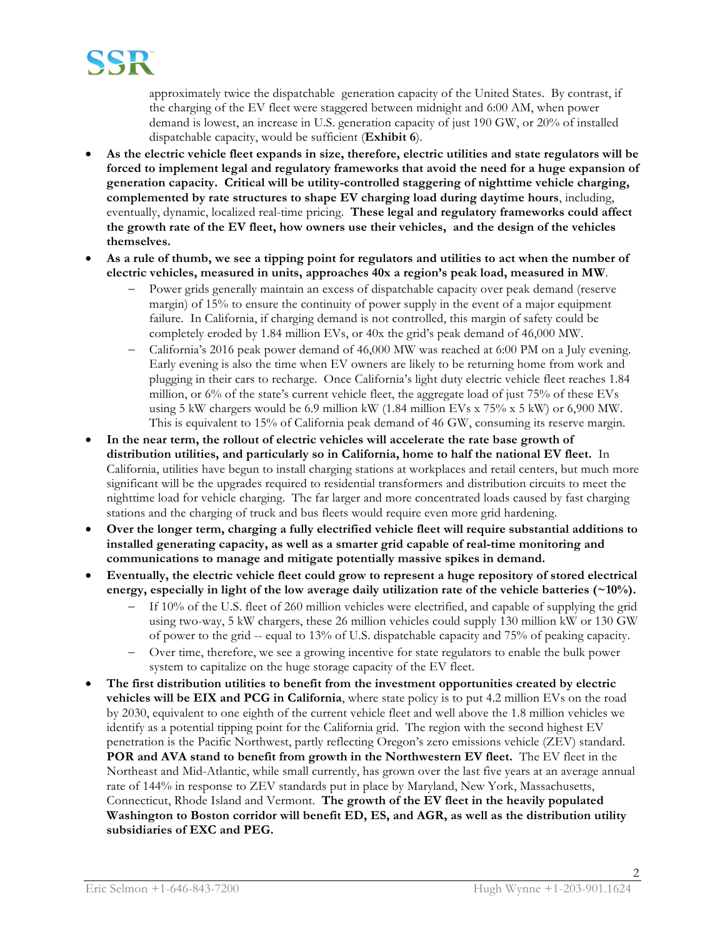

approximately twice the dispatchable generation capacity of the United States. By contrast, if the charging of the EV fleet were staggered between midnight and 6:00 AM, when power demand is lowest, an increase in U.S. generation capacity of just 190 GW, or 20% of installed dispatchable capacity, would be sufficient (**Exhibit 6**).

- **As the electric vehicle fleet expands in size, therefore, electric utilities and state regulators will be forced to implement legal and regulatory frameworks that avoid the need for a huge expansion of generation capacity. Critical will be utility-controlled staggering of nighttime vehicle charging, complemented by rate structures to shape EV charging load during daytime hours**, including, eventually, dynamic, localized real-time pricing. **These legal and regulatory frameworks could affect the growth rate of the EV fleet, how owners use their vehicles, and the design of the vehicles themselves.**
- **As a rule of thumb, we see a tipping point for regulators and utilities to act when the number of electric vehicles, measured in units, approaches 40x a region's peak load, measured in MW**.
	- Power grids generally maintain an excess of dispatchable capacity over peak demand (reserve margin) of 15% to ensure the continuity of power supply in the event of a major equipment failure. In California, if charging demand is not controlled, this margin of safety could be completely eroded by 1.84 million EVs, or 40x the grid's peak demand of 46,000 MW.
	- California's 2016 peak power demand of 46,000 MW was reached at 6:00 PM on a July evening. Early evening is also the time when EV owners are likely to be returning home from work and plugging in their cars to recharge. Once California's light duty electric vehicle fleet reaches 1.84 million, or 6% of the state's current vehicle fleet, the aggregate load of just 75% of these EVs using 5 kW chargers would be 6.9 million kW (1.84 million EVs x  $75\%$  x 5 kW) or 6,900 MW. This is equivalent to 15% of California peak demand of 46 GW, consuming its reserve margin.
- **In the near term, the rollout of electric vehicles will accelerate the rate base growth of distribution utilities, and particularly so in California, home to half the national EV fleet.** In California, utilities have begun to install charging stations at workplaces and retail centers, but much more significant will be the upgrades required to residential transformers and distribution circuits to meet the nighttime load for vehicle charging. The far larger and more concentrated loads caused by fast charging stations and the charging of truck and bus fleets would require even more grid hardening.
- **Over the longer term, charging a fully electrified vehicle fleet will require substantial additions to installed generating capacity, as well as a smarter grid capable of real-time monitoring and communications to manage and mitigate potentially massive spikes in demand.**
- **Eventually, the electric vehicle fleet could grow to represent a huge repository of stored electrical energy, especially in light of the low average daily utilization rate of the vehicle batteries (~10%).** 
	- If 10% of the U.S. fleet of 260 million vehicles were electrified, and capable of supplying the grid using two-way, 5 kW chargers, these 26 million vehicles could supply 130 million kW or 130 GW of power to the grid -- equal to 13% of U.S. dispatchable capacity and 75% of peaking capacity.
	- Over time, therefore, we see a growing incentive for state regulators to enable the bulk power system to capitalize on the huge storage capacity of the EV fleet.
- **The first distribution utilities to benefit from the investment opportunities created by electric vehicles will be EIX and PCG in California**, where state policy is to put 4.2 million EVs on the road by 2030, equivalent to one eighth of the current vehicle fleet and well above the 1.8 million vehicles we identify as a potential tipping point for the California grid.The region with the second highest EV penetration is the Pacific Northwest, partly reflecting Oregon's zero emissions vehicle (ZEV) standard. **POR and AVA stand to benefit from growth in the Northwestern EV fleet.** The EV fleet in the Northeast and Mid-Atlantic, while small currently, has grown over the last five years at an average annual rate of 144% in response to ZEV standards put in place by Maryland, New York, Massachusetts, Connecticut, Rhode Island and Vermont. **The growth of the EV fleet in the heavily populated Washington to Boston corridor will benefit ED, ES, and AGR, as well as the distribution utility subsidiaries of EXC and PEG.**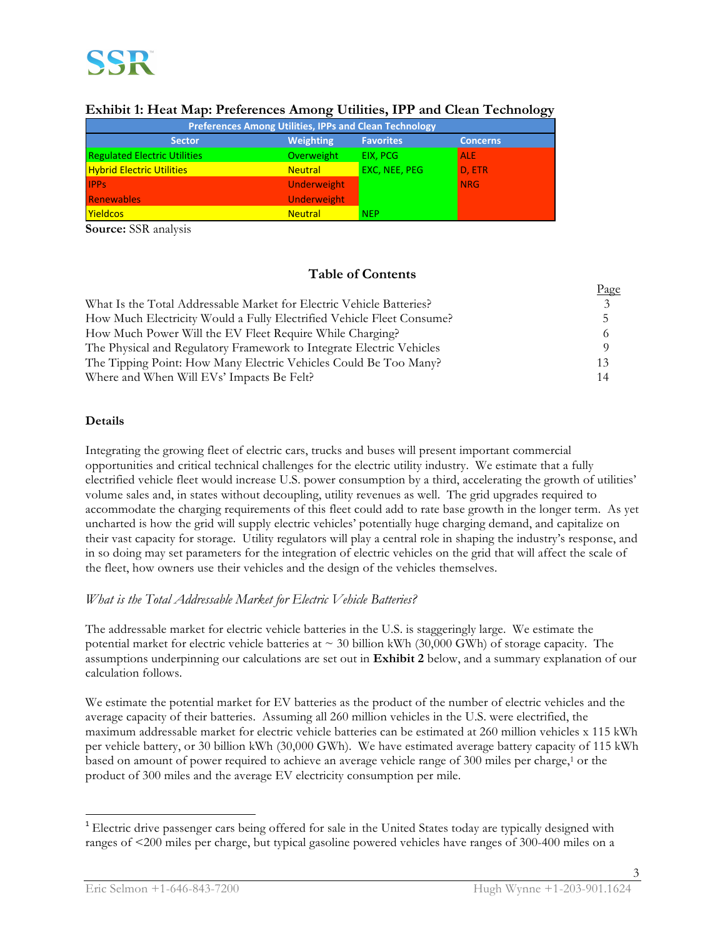

| must a from the protectives through cannot the steam from the state |                    |                  |                 |  |  |  |  |
|---------------------------------------------------------------------|--------------------|------------------|-----------------|--|--|--|--|
| <b>Preferences Among Utilities, IPPs and Clean Technology</b>       |                    |                  |                 |  |  |  |  |
| <b>Sector</b>                                                       | <b>Weighting</b>   | <b>Favorites</b> | <b>Concerns</b> |  |  |  |  |
| <b>Regulated Electric Utilities</b>                                 | Overweight         | EIX. PCG         | <b>ALE</b>      |  |  |  |  |
| <b>Hybrid Electric Utilities</b>                                    | <b>Neutral</b>     | EXC, NEE, PEG    | D, ETR          |  |  |  |  |
| <b>IPPS</b>                                                         | <b>Underweight</b> |                  | <b>NRG</b>      |  |  |  |  |
| Renewables                                                          | <b>Underweight</b> |                  |                 |  |  |  |  |
| <b>Yieldcos</b>                                                     | <b>Neutral</b>     | <b>NEP</b>       |                 |  |  |  |  |

### **Exhibit 1: Heat Map: Preferences Among Utilities, IPP and Clean Technology**

**Source:** SSR analysis

# **Table of Contents**

|                                                                       | <u>r</u> age |
|-----------------------------------------------------------------------|--------------|
| What Is the Total Addressable Market for Electric Vehicle Batteries?  |              |
| How Much Electricity Would a Fully Electrified Vehicle Fleet Consume? |              |
| How Much Power Will the EV Fleet Require While Charging?              |              |
| The Physical and Regulatory Framework to Integrate Electric Vehicles  |              |
| The Tipping Point: How Many Electric Vehicles Could Be Too Many?      | 13           |
| Where and When Will EVs' Impacts Be Felt?                             | 14           |

#### **Details**

Integrating the growing fleet of electric cars, trucks and buses will present important commercial opportunities and critical technical challenges for the electric utility industry. We estimate that a fully electrified vehicle fleet would increase U.S. power consumption by a third, accelerating the growth of utilities' volume sales and, in states without decoupling, utility revenues as well. The grid upgrades required to accommodate the charging requirements of this fleet could add to rate base growth in the longer term. As yet uncharted is how the grid will supply electric vehicles' potentially huge charging demand, and capitalize on their vast capacity for storage. Utility regulators will play a central role in shaping the industry's response, and in so doing may set parameters for the integration of electric vehicles on the grid that will affect the scale of the fleet, how owners use their vehicles and the design of the vehicles themselves.

# *What is the Total Addressable Market for Electric Vehicle Batteries?*

The addressable market for electric vehicle batteries in the U.S. is staggeringly large. We estimate the potential market for electric vehicle batteries at  $\sim$  30 billion kWh (30,000 GWh) of storage capacity. The assumptions underpinning our calculations are set out in **Exhibit 2** below, and a summary explanation of our calculation follows.

We estimate the potential market for EV batteries as the product of the number of electric vehicles and the average capacity of their batteries. Assuming all 260 million vehicles in the U.S. were electrified, the maximum addressable market for electric vehicle batteries can be estimated at 260 million vehicles x 115 kWh per vehicle battery, or 30 billion kWh (30,000 GWh). We have estimated average battery capacity of 115 kWh based on amount of power required to achieve an average vehicle range of 300 miles per charge,<sup>1</sup> or the product of 300 miles and the average EV electricity consumption per mile.

 $\mathbf{p}$ 

<sup>&</sup>lt;sup>1</sup> Electric drive passenger cars being offered for sale in the United States today are typically designed with ranges of <200 miles per charge, but typical gasoline powered vehicles have ranges of 300-400 miles on a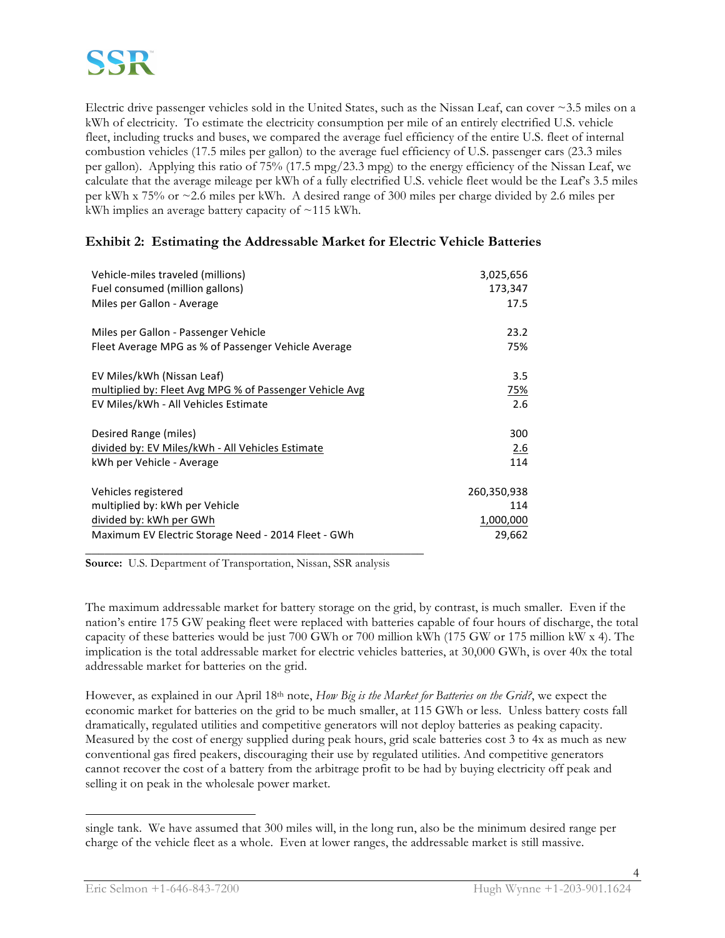Electric drive passenger vehicles sold in the United States, such as the Nissan Leaf, can cover ~3.5 miles on a kWh of electricity. To estimate the electricity consumption per mile of an entirely electrified U.S. vehicle fleet, including trucks and buses, we compared the average fuel efficiency of the entire U.S. fleet of internal combustion vehicles (17.5 miles per gallon) to the average fuel efficiency of U.S. passenger cars (23.3 miles per gallon). Applying this ratio of 75% (17.5 mpg/23.3 mpg) to the energy efficiency of the Nissan Leaf, we calculate that the average mileage per kWh of a fully electrified U.S. vehicle fleet would be the Leaf's 3.5 miles per kWh x 75% or ~2.6 miles per kWh. A desired range of 300 miles per charge divided by 2.6 miles per kWh implies an average battery capacity of  $\sim$ 115 kWh.

# **Exhibit 2: Estimating the Addressable Market for Electric Vehicle Batteries**

| Vehicle-miles traveled (millions)                       | 3,025,656   |
|---------------------------------------------------------|-------------|
| Fuel consumed (million gallons)                         | 173,347     |
| Miles per Gallon - Average                              | 17.5        |
| Miles per Gallon - Passenger Vehicle                    | 23.2        |
| Fleet Average MPG as % of Passenger Vehicle Average     | 75%         |
| EV Miles/kWh (Nissan Leaf)                              | 3.5         |
| multiplied by: Fleet Avg MPG % of Passenger Vehicle Avg | <u>75%</u>  |
| EV Miles/kWh - All Vehicles Estimate                    | 2.6         |
| Desired Range (miles)                                   | 300         |
| divided by: EV Miles/kWh - All Vehicles Estimate        | 2.6         |
| kWh per Vehicle - Average                               | 114         |
| Vehicles registered                                     | 260,350,938 |
| multiplied by: kWh per Vehicle                          | 114         |
| divided by: kWh per GWh                                 | 1,000,000   |
| Maximum EV Electric Storage Need - 2014 Fleet - GWh     | 29,662      |

**Source:** U.S. Department of Transportation, Nissan, SSR analysis

The maximum addressable market for battery storage on the grid, by contrast, is much smaller. Even if the nation's entire 175 GW peaking fleet were replaced with batteries capable of four hours of discharge, the total capacity of these batteries would be just 700 GWh or 700 million kWh (175 GW or 175 million kW x 4). The implication is the total addressable market for electric vehicles batteries, at 30,000 GWh, is over 40x the total addressable market for batteries on the grid.

However, as explained in our April 18th note, *How Big is the Market for Batteries on the Grid?*, we expect the economic market for batteries on the grid to be much smaller, at 115 GWh or less. Unless battery costs fall dramatically, regulated utilities and competitive generators will not deploy batteries as peaking capacity. Measured by the cost of energy supplied during peak hours, grid scale batteries cost 3 to 4x as much as new conventional gas fired peakers, discouraging their use by regulated utilities. And competitive generators cannot recover the cost of a battery from the arbitrage profit to be had by buying electricity off peak and selling it on peak in the wholesale power market.

 $\overline{a}$ 

single tank. We have assumed that 300 miles will, in the long run, also be the minimum desired range per charge of the vehicle fleet as a whole. Even at lower ranges, the addressable market is still massive.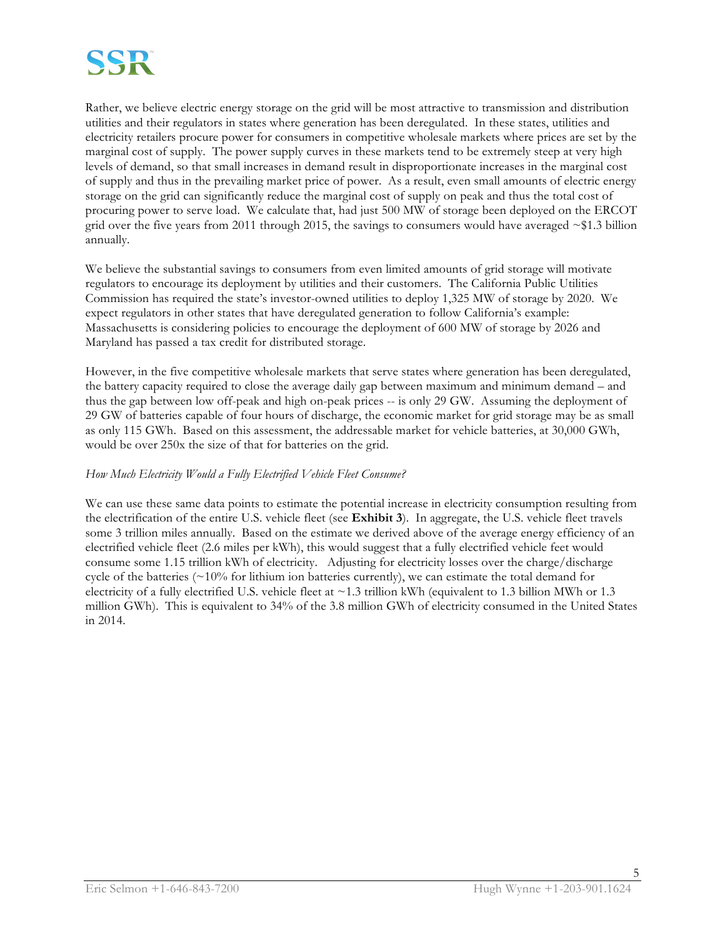

Rather, we believe electric energy storage on the grid will be most attractive to transmission and distribution utilities and their regulators in states where generation has been deregulated. In these states, utilities and electricity retailers procure power for consumers in competitive wholesale markets where prices are set by the marginal cost of supply. The power supply curves in these markets tend to be extremely steep at very high levels of demand, so that small increases in demand result in disproportionate increases in the marginal cost of supply and thus in the prevailing market price of power. As a result, even small amounts of electric energy storage on the grid can significantly reduce the marginal cost of supply on peak and thus the total cost of procuring power to serve load. We calculate that, had just 500 MW of storage been deployed on the ERCOT grid over the five years from 2011 through 2015, the savings to consumers would have averaged ~\$1.3 billion annually.

We believe the substantial savings to consumers from even limited amounts of grid storage will motivate regulators to encourage its deployment by utilities and their customers. The California Public Utilities Commission has required the state's investor-owned utilities to deploy 1,325 MW of storage by 2020. We expect regulators in other states that have deregulated generation to follow California's example: Massachusetts is considering policies to encourage the deployment of 600 MW of storage by 2026 and Maryland has passed a tax credit for distributed storage.

However, in the five competitive wholesale markets that serve states where generation has been deregulated, the battery capacity required to close the average daily gap between maximum and minimum demand – and thus the gap between low off-peak and high on-peak prices -- is only 29 GW. Assuming the deployment of 29 GW of batteries capable of four hours of discharge, the economic market for grid storage may be as small as only 115 GWh. Based on this assessment, the addressable market for vehicle batteries, at 30,000 GWh, would be over 250x the size of that for batteries on the grid.

#### *How Much Electricity Would a Fully Electrified Vehicle Fleet Consume?*

We can use these same data points to estimate the potential increase in electricity consumption resulting from the electrification of the entire U.S. vehicle fleet (see **Exhibit 3**). In aggregate, the U.S. vehicle fleet travels some 3 trillion miles annually. Based on the estimate we derived above of the average energy efficiency of an electrified vehicle fleet (2.6 miles per kWh), this would suggest that a fully electrified vehicle feet would consume some 1.15 trillion kWh of electricity. Adjusting for electricity losses over the charge/discharge cycle of the batteries  $(\sim 10\%$  for lithium ion batteries currently), we can estimate the total demand for electricity of a fully electrified U.S. vehicle fleet at  $\sim$  1.3 trillion kWh (equivalent to 1.3 billion MWh or 1.3 million GWh). This is equivalent to 34% of the 3.8 million GWh of electricity consumed in the United States in 2014.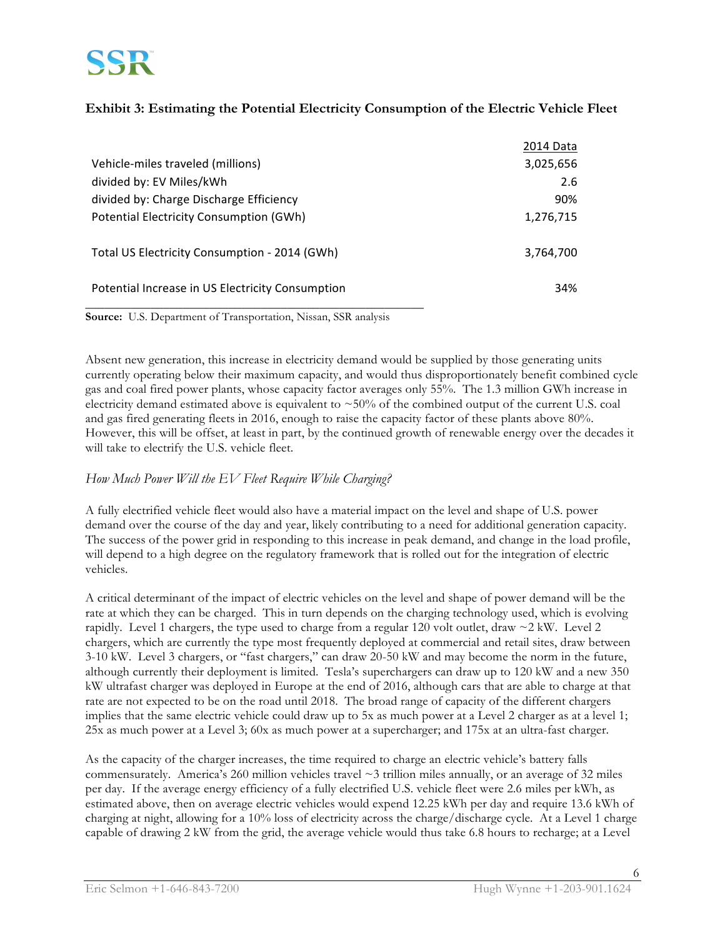

# **Exhibit 3: Estimating the Potential Electricity Consumption of the Electric Vehicle Fleet**

|                                                  | 2014 Data |
|--------------------------------------------------|-----------|
| Vehicle-miles traveled (millions)                | 3,025,656 |
| divided by: EV Miles/kWh                         | 2.6       |
| divided by: Charge Discharge Efficiency          | 90%       |
| Potential Electricity Consumption (GWh)          | 1,276,715 |
|                                                  |           |
| Total US Electricity Consumption - 2014 (GWh)    | 3,764,700 |
|                                                  |           |
| Potential Increase in US Electricity Consumption | 34%       |
|                                                  |           |

**Source:** U.S. Department of Transportation, Nissan, SSR analysis

Absent new generation, this increase in electricity demand would be supplied by those generating units currently operating below their maximum capacity, and would thus disproportionately benefit combined cycle gas and coal fired power plants, whose capacity factor averages only 55%. The 1.3 million GWh increase in electricity demand estimated above is equivalent to  $\sim$  50% of the combined output of the current U.S. coal and gas fired generating fleets in 2016, enough to raise the capacity factor of these plants above 80%. However, this will be offset, at least in part, by the continued growth of renewable energy over the decades it will take to electrify the U.S. vehicle fleet.

# *How Much Power Will the EV Fleet Require While Charging?*

A fully electrified vehicle fleet would also have a material impact on the level and shape of U.S. power demand over the course of the day and year, likely contributing to a need for additional generation capacity. The success of the power grid in responding to this increase in peak demand, and change in the load profile, will depend to a high degree on the regulatory framework that is rolled out for the integration of electric vehicles.

A critical determinant of the impact of electric vehicles on the level and shape of power demand will be the rate at which they can be charged. This in turn depends on the charging technology used, which is evolving rapidly. Level 1 chargers, the type used to charge from a regular 120 volt outlet, draw  $\sim$  2 kW. Level 2 chargers, which are currently the type most frequently deployed at commercial and retail sites, draw between 3-10 kW. Level 3 chargers, or "fast chargers," can draw 20-50 kW and may become the norm in the future, although currently their deployment is limited. Tesla's superchargers can draw up to 120 kW and a new 350 kW ultrafast charger was deployed in Europe at the end of 2016, although cars that are able to charge at that rate are not expected to be on the road until 2018. The broad range of capacity of the different chargers implies that the same electric vehicle could draw up to 5x as much power at a Level 2 charger as at a level 1; 25x as much power at a Level 3; 60x as much power at a supercharger; and 175x at an ultra-fast charger.

As the capacity of the charger increases, the time required to charge an electric vehicle's battery falls commensurately. America's 260 million vehicles travel  $\sim$ 3 trillion miles annually, or an average of 32 miles per day. If the average energy efficiency of a fully electrified U.S. vehicle fleet were 2.6 miles per kWh, as estimated above, then on average electric vehicles would expend 12.25 kWh per day and require 13.6 kWh of charging at night, allowing for a 10% loss of electricity across the charge/discharge cycle. At a Level 1 charge capable of drawing 2 kW from the grid, the average vehicle would thus take 6.8 hours to recharge; at a Level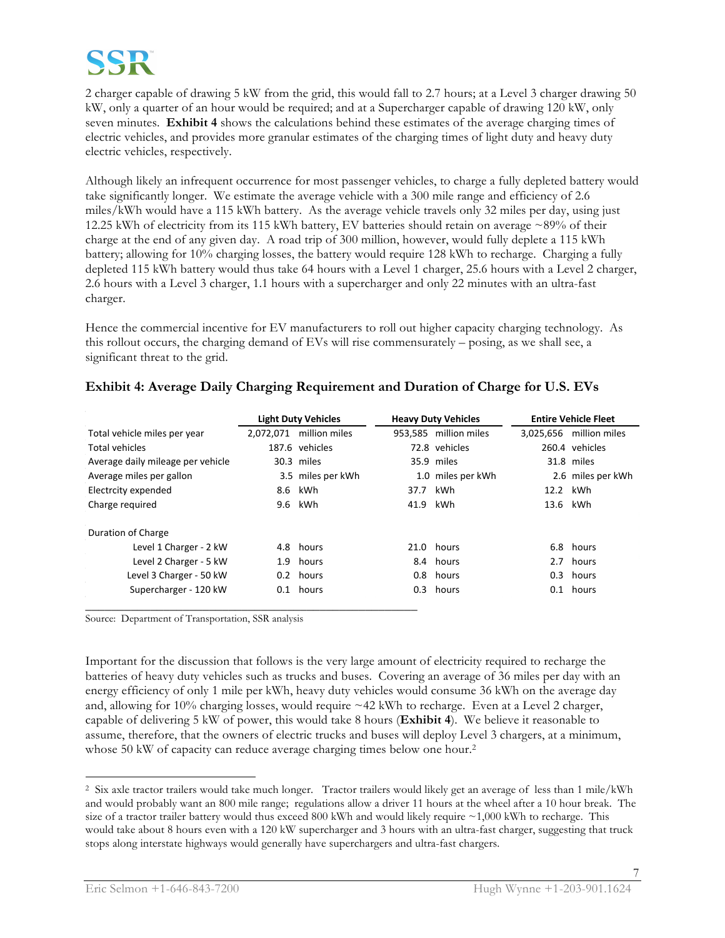

2 charger capable of drawing 5 kW from the grid, this would fall to 2.7 hours; at a Level 3 charger drawing 50 kW, only a quarter of an hour would be required; and at a Supercharger capable of drawing 120 kW, only seven minutes. **Exhibit 4** shows the calculations behind these estimates of the average charging times of electric vehicles, and provides more granular estimates of the charging times of light duty and heavy duty electric vehicles, respectively.

Although likely an infrequent occurrence for most passenger vehicles, to charge a fully depleted battery would take significantly longer. We estimate the average vehicle with a 300 mile range and efficiency of 2.6 miles/kWh would have a 115 kWh battery. As the average vehicle travels only 32 miles per day, using just 12.25 kWh of electricity from its 115 kWh battery, EV batteries should retain on average ~89% of their charge at the end of any given day. A road trip of 300 million, however, would fully deplete a 115 kWh battery; allowing for 10% charging losses, the battery would require 128 kWh to recharge. Charging a fully depleted 115 kWh battery would thus take 64 hours with a Level 1 charger, 25.6 hours with a Level 2 charger, 2.6 hours with a Level 3 charger, 1.1 hours with a supercharger and only 22 minutes with an ultra-fast charger.

Hence the commercial incentive for EV manufacturers to roll out higher capacity charging technology. As this rollout occurs, the charging demand of EVs will rise commensurately – posing, as we shall see, a significant threat to the grid.

|                                   |           | <b>Light Duty Vehicles</b> |          | <b>Heavy Duty Vehicles</b> | <b>Entire Vehicle Fleet</b> |
|-----------------------------------|-----------|----------------------------|----------|----------------------------|-----------------------------|
| Total vehicle miles per year      | 2.072.071 | million miles              |          | 953.585 million miles      | 3,025,656 million miles     |
| <b>Total vehicles</b>             |           | 187.6 vehicles             |          | 72.8 vehicles              | 260.4 vehicles              |
| Average daily mileage per vehicle |           | 30.3 miles                 |          | 35.9 miles                 | 31.8 miles                  |
| Average miles per gallon          |           | 3.5 miles per kWh          |          | 1.0 miles per kWh          | 2.6 miles per kWh           |
| Electrcity expended               |           | 8.6 kWh                    | 37.7     | kWh                        | 12.2 kWh                    |
| Charge required                   |           | 9.6 kWh                    | 41.9 kWh |                            | 13.6 kWh                    |
| Duration of Charge                |           |                            |          |                            |                             |
| Level 1 Charger - 2 kW            |           | 4.8 hours                  |          | 21.0 hours                 | 6.8 hours                   |
| Level 2 Charger - 5 kW            |           | 1.9 hours                  |          | 8.4 hours                  | 2.7 hours                   |
| Level 3 Charger - 50 kW           |           | 0.2 hours                  |          | 0.8 hours                  | 0.3 hours                   |
| Supercharger - 120 kW             |           | 0.1 hours                  |          | 0.3 hours                  | 0.1 hours                   |
|                                   |           |                            |          |                            |                             |

# **Exhibit 4: Average Daily Charging Requirement and Duration of Charge for U.S. EVs**

Source: Department of Transportation, SSR analysis

Important for the discussion that follows is the very large amount of electricity required to recharge the batteries of heavy duty vehicles such as trucks and buses. Covering an average of 36 miles per day with an energy efficiency of only 1 mile per kWh, heavy duty vehicles would consume 36 kWh on the average day and, allowing for  $10\%$  charging losses, would require  $\sim$  42 kWh to recharge. Even at a Level 2 charger, capable of delivering 5 kW of power, this would take 8 hours (**Exhibit 4**). We believe it reasonable to assume, therefore, that the owners of electric trucks and buses will deploy Level 3 chargers, at a minimum, whose 50 kW of capacity can reduce average charging times below one hour.<sup>2</sup>

 $\overline{a}$ 

<sup>2</sup> Six axle tractor trailers would take much longer. Tractor trailers would likely get an average of less than 1 mile/kWh and would probably want an 800 mile range; regulations allow a driver 11 hours at the wheel after a 10 hour break. The size of a tractor trailer battery would thus exceed 800 kWh and would likely require  $\sim$ 1,000 kWh to recharge. This would take about 8 hours even with a 120 kW supercharger and 3 hours with an ultra-fast charger, suggesting that truck stops along interstate highways would generally have superchargers and ultra-fast chargers.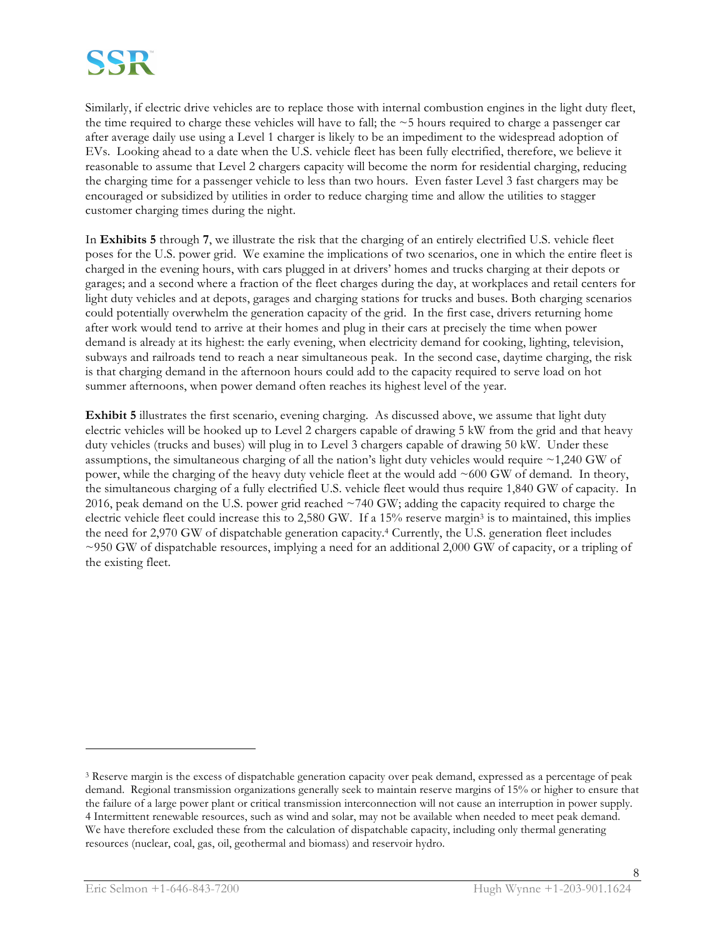

Similarly, if electric drive vehicles are to replace those with internal combustion engines in the light duty fleet, the time required to charge these vehicles will have to fall; the ~5 hours required to charge a passenger car after average daily use using a Level 1 charger is likely to be an impediment to the widespread adoption of EVs. Looking ahead to a date when the U.S. vehicle fleet has been fully electrified, therefore, we believe it reasonable to assume that Level 2 chargers capacity will become the norm for residential charging, reducing the charging time for a passenger vehicle to less than two hours. Even faster Level 3 fast chargers may be encouraged or subsidized by utilities in order to reduce charging time and allow the utilities to stagger customer charging times during the night.

In **Exhibits 5** through **7**, we illustrate the risk that the charging of an entirely electrified U.S. vehicle fleet poses for the U.S. power grid. We examine the implications of two scenarios, one in which the entire fleet is charged in the evening hours, with cars plugged in at drivers' homes and trucks charging at their depots or garages; and a second where a fraction of the fleet charges during the day, at workplaces and retail centers for light duty vehicles and at depots, garages and charging stations for trucks and buses. Both charging scenarios could potentially overwhelm the generation capacity of the grid. In the first case, drivers returning home after work would tend to arrive at their homes and plug in their cars at precisely the time when power demand is already at its highest: the early evening, when electricity demand for cooking, lighting, television, subways and railroads tend to reach a near simultaneous peak. In the second case, daytime charging, the risk is that charging demand in the afternoon hours could add to the capacity required to serve load on hot summer afternoons, when power demand often reaches its highest level of the year.

**Exhibit 5** illustrates the first scenario, evening charging. As discussed above, we assume that light duty electric vehicles will be hooked up to Level 2 chargers capable of drawing 5 kW from the grid and that heavy duty vehicles (trucks and buses) will plug in to Level 3 chargers capable of drawing 50 kW. Under these assumptions, the simultaneous charging of all the nation's light duty vehicles would require ~1,240 GW of power, while the charging of the heavy duty vehicle fleet at the would add ~600 GW of demand. In theory, the simultaneous charging of a fully electrified U.S. vehicle fleet would thus require 1,840 GW of capacity. In 2016, peak demand on the U.S. power grid reached ~740 GW; adding the capacity required to charge the electric vehicle fleet could increase this to 2,580 GW. If a 15% reserve margin3 is to maintained, this implies the need for 2,970 GW of dispatchable generation capacity.<sup>4</sup> Currently, the U.S. generation fleet includes ~950 GW of dispatchable resources, implying a need for an additional 2,000 GW of capacity, or a tripling of the existing fleet.

 $\overline{a}$ 

<sup>3</sup> Reserve margin is the excess of dispatchable generation capacity over peak demand, expressed as a percentage of peak demand. Regional transmission organizations generally seek to maintain reserve margins of 15% or higher to ensure that the failure of a large power plant or critical transmission interconnection will not cause an interruption in power supply. 4 Intermittent renewable resources, such as wind and solar, may not be available when needed to meet peak demand. We have therefore excluded these from the calculation of dispatchable capacity, including only thermal generating resources (nuclear, coal, gas, oil, geothermal and biomass) and reservoir hydro.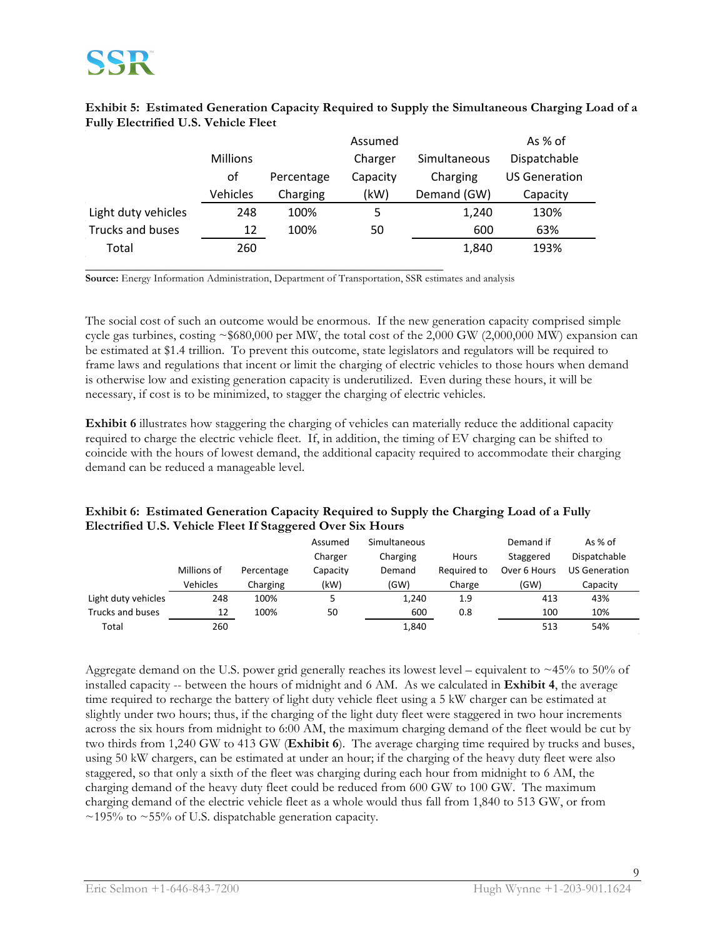### **Exhibit 5: Estimated Generation Capacity Required to Supply the Simultaneous Charging Load of a**  Fully Electrified U.S. Vehicle Fleet

|                     |                 |            | Assumed  |              | As % of              |
|---------------------|-----------------|------------|----------|--------------|----------------------|
|                     | <b>Millions</b> |            | Charger  | Simultaneous | Dispatchable         |
|                     | of              | Percentage | Capacity | Charging     | <b>US Generation</b> |
|                     | Vehicles        | Charging   | (kW)     | Demand (GW)  | Capacity             |
| Light duty vehicles | 248             | 100%       | 5        | 1,240        | 130%                 |
| Trucks and buses    | 12              | 100%       | 50       | 600          | 63%                  |
| Total               | 260             |            |          | 1,840        | 193%                 |
|                     |                 |            |          |              |                      |

**Source:** Energy Information Administration, Department of Transportation, SSR estimates and analysis

The social cost of such an outcome would be enormous. If the new generation capacity comprised simple cycle gas turbines, costing  $\sim$  \$680,000 per MW, the total cost of the 2,000 GW (2,000,000 MW) expansion can be estimated at \$1.4 trillion. To prevent this outcome, state legislators and regulators will be required to frame laws and regulations that incent or limit the charging of electric vehicles to those hours when demand is otherwise low and existing generation capacity is underutilized. Even during these hours, it will be necessary, if cost is to be minimized, to stagger the charging of electric vehicles.

**Exhibit 6** illustrates how staggering the charging of vehicles can materially reduce the additional capacity required to charge the electric vehicle fleet. If, in addition, the timing of EV charging can be shifted to coincide with the hours of lowest demand, the additional capacity required to accommodate their charging demand can be reduced a manageable level.

### **Exhibit 6: Estimated Generation Capacity Required to Supply the Charging Load of a Fully Electrified U.S. Vehicle Fleet If Staggered Over Six Hours**

|                     |             |            | Assumed<br>Charger | Simultaneous<br>Charging | Hours       | Demand if<br>Staggered | As $%$ of<br>Dispatchable |
|---------------------|-------------|------------|--------------------|--------------------------|-------------|------------------------|---------------------------|
|                     | Millions of | Percentage | Capacity           | Demand                   | Required to | Over 6 Hours           | US Generation             |
|                     | Vehicles    | Charging   | (kW)               | (GW)                     | Charge      | (GW)                   | Capacity                  |
| Light duty vehicles | 248         | 100%       |                    | 1,240                    | 1.9         | 413                    | 43%                       |
| Trucks and buses    | 12          | 100%       | 50                 | 600                      | 0.8         | 100                    | 10%                       |
| Total               | 260         |            |                    | 1,840                    |             | 513                    | 54%                       |

Aggregate demand on the U.S. power grid generally reaches its lowest level – equivalent to ~45% to 50% of installed capacity -- between the hours of midnight and 6 AM. As we calculated in **Exhibit 4**, the average time required to recharge the battery of light duty vehicle fleet using a 5 kW charger can be estimated at slightly under two hours; thus, if the charging of the light duty fleet were staggered in two hour increments across the six hours from midnight to 6:00 AM, the maximum charging demand of the fleet would be cut by two thirds from 1,240 GW to 413 GW (**Exhibit 6**). The average charging time required by trucks and buses, using 50 kW chargers, can be estimated at under an hour; if the charging of the heavy duty fleet were also staggered, so that only a sixth of the fleet was charging during each hour from midnight to 6 AM, the charging demand of the heavy duty fleet could be reduced from 600 GW to 100 GW. The maximum charging demand of the electric vehicle fleet as a whole would thus fall from 1,840 to 513 GW, or from  $\sim$ 195% to  $\sim$ 55% of U.S. dispatchable generation capacity.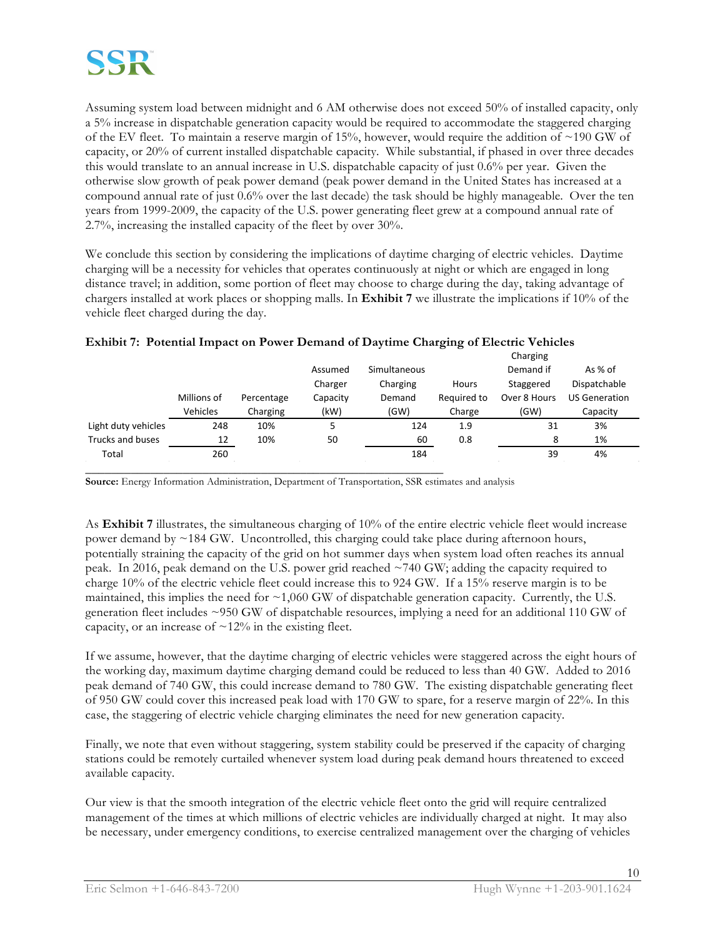Assuming system load between midnight and 6 AM otherwise does not exceed 50% of installed capacity, only a 5% increase in dispatchable generation capacity would be required to accommodate the staggered charging of the EV fleet. To maintain a reserve margin of 15%, however, would require the addition of ~190 GW of capacity, or 20% of current installed dispatchable capacity. While substantial, if phased in over three decades this would translate to an annual increase in U.S. dispatchable capacity of just 0.6% per year. Given the otherwise slow growth of peak power demand (peak power demand in the United States has increased at a compound annual rate of just 0.6% over the last decade) the task should be highly manageable. Over the ten years from 1999-2009, the capacity of the U.S. power generating fleet grew at a compound annual rate of 2.7%, increasing the installed capacity of the fleet by over 30%.

We conclude this section by considering the implications of daytime charging of electric vehicles. Daytime charging will be a necessity for vehicles that operates continuously at night or which are engaged in long distance travel; in addition, some portion of fleet may choose to charge during the day, taking advantage of chargers installed at work places or shopping malls. In **Exhibit 7** we illustrate the implications if 10% of the vehicle fleet charged during the day.

|                     |             |            |          |              |              | Charging     |                      |  |
|---------------------|-------------|------------|----------|--------------|--------------|--------------|----------------------|--|
|                     |             |            | Assumed  | Simultaneous |              | Demand if    | As $%$ of            |  |
|                     |             |            | Charger  | Charging     | <b>Hours</b> | Staggered    | Dispatchable         |  |
|                     | Millions of | Percentage | Capacity | Demand       | Required to  | Over 8 Hours | <b>US Generation</b> |  |
|                     | Vehicles    | Charging   | (kW)     | (GW)         | Charge       | (GW)         | Capacity             |  |
| Light duty vehicles | 248         | 10%        | 5        | 124          | 1.9          | 31           | 3%                   |  |
| Trucks and buses    | 12          | 10%        | 50       | 60           | 0.8          | 8            | 1%                   |  |
| Total               | 260         |            |          | 184          |              | 39           | 4%                   |  |
|                     |             |            |          |              |              |              |                      |  |

### **Exhibit 7: Potential Impact on Power Demand of Daytime Charging of Electric Vehicles**

**Source:** Energy Information Administration, Department of Transportation, SSR estimates and analysis

As **Exhibit 7** illustrates, the simultaneous charging of 10% of the entire electric vehicle fleet would increase power demand by ~184 GW. Uncontrolled, this charging could take place during afternoon hours, potentially straining the capacity of the grid on hot summer days when system load often reaches its annual peak. In 2016, peak demand on the U.S. power grid reached ~740 GW; adding the capacity required to charge 10% of the electric vehicle fleet could increase this to 924 GW. If a 15% reserve margin is to be maintained, this implies the need for  $\sim$  1,060 GW of dispatchable generation capacity. Currently, the U.S. generation fleet includes ~950 GW of dispatchable resources, implying a need for an additional 110 GW of capacity, or an increase of  $\sim$ 12% in the existing fleet.

If we assume, however, that the daytime charging of electric vehicles were staggered across the eight hours of the working day, maximum daytime charging demand could be reduced to less than 40 GW. Added to 2016 peak demand of 740 GW, this could increase demand to 780 GW. The existing dispatchable generating fleet of 950 GW could cover this increased peak load with 170 GW to spare, for a reserve margin of 22%. In this case, the staggering of electric vehicle charging eliminates the need for new generation capacity.

Finally, we note that even without staggering, system stability could be preserved if the capacity of charging stations could be remotely curtailed whenever system load during peak demand hours threatened to exceed available capacity.

Our view is that the smooth integration of the electric vehicle fleet onto the grid will require centralized management of the times at which millions of electric vehicles are individually charged at night. It may also be necessary, under emergency conditions, to exercise centralized management over the charging of vehicles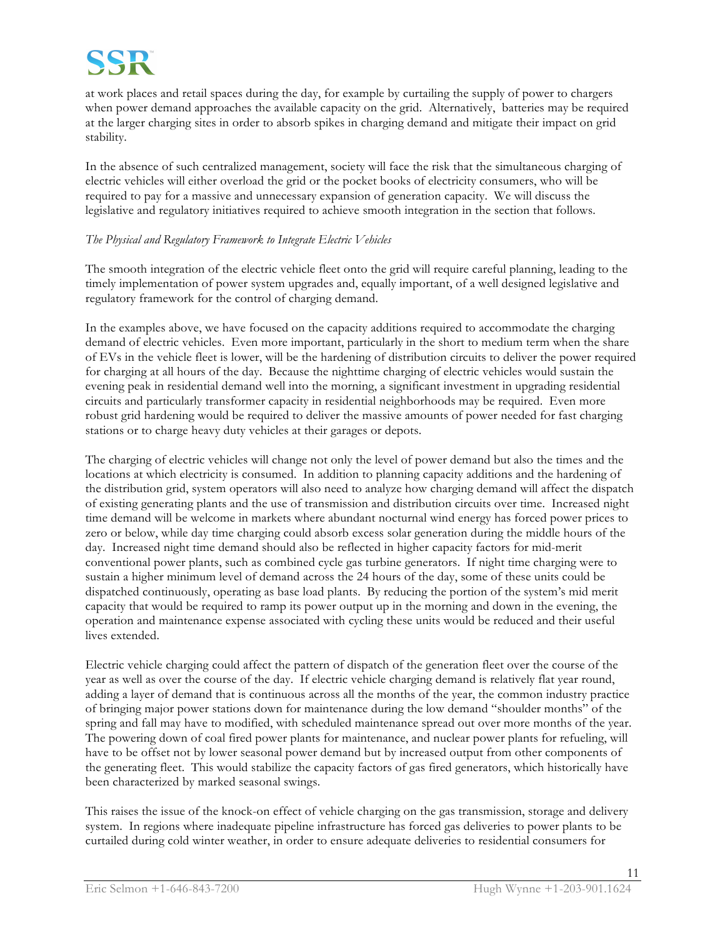

at work places and retail spaces during the day, for example by curtailing the supply of power to chargers when power demand approaches the available capacity on the grid. Alternatively, batteries may be required at the larger charging sites in order to absorb spikes in charging demand and mitigate their impact on grid stability.

In the absence of such centralized management, society will face the risk that the simultaneous charging of electric vehicles will either overload the grid or the pocket books of electricity consumers, who will be required to pay for a massive and unnecessary expansion of generation capacity. We will discuss the legislative and regulatory initiatives required to achieve smooth integration in the section that follows.

#### *The Physical and Regulatory Framework to Integrate Electric Vehicles*

The smooth integration of the electric vehicle fleet onto the grid will require careful planning, leading to the timely implementation of power system upgrades and, equally important, of a well designed legislative and regulatory framework for the control of charging demand.

In the examples above, we have focused on the capacity additions required to accommodate the charging demand of electric vehicles. Even more important, particularly in the short to medium term when the share of EVs in the vehicle fleet is lower, will be the hardening of distribution circuits to deliver the power required for charging at all hours of the day. Because the nighttime charging of electric vehicles would sustain the evening peak in residential demand well into the morning, a significant investment in upgrading residential circuits and particularly transformer capacity in residential neighborhoods may be required. Even more robust grid hardening would be required to deliver the massive amounts of power needed for fast charging stations or to charge heavy duty vehicles at their garages or depots.

The charging of electric vehicles will change not only the level of power demand but also the times and the locations at which electricity is consumed. In addition to planning capacity additions and the hardening of the distribution grid, system operators will also need to analyze how charging demand will affect the dispatch of existing generating plants and the use of transmission and distribution circuits over time. Increased night time demand will be welcome in markets where abundant nocturnal wind energy has forced power prices to zero or below, while day time charging could absorb excess solar generation during the middle hours of the day. Increased night time demand should also be reflected in higher capacity factors for mid-merit conventional power plants, such as combined cycle gas turbine generators. If night time charging were to sustain a higher minimum level of demand across the 24 hours of the day, some of these units could be dispatched continuously, operating as base load plants. By reducing the portion of the system's mid merit capacity that would be required to ramp its power output up in the morning and down in the evening, the operation and maintenance expense associated with cycling these units would be reduced and their useful lives extended.

Electric vehicle charging could affect the pattern of dispatch of the generation fleet over the course of the year as well as over the course of the day. If electric vehicle charging demand is relatively flat year round, adding a layer of demand that is continuous across all the months of the year, the common industry practice of bringing major power stations down for maintenance during the low demand "shoulder months" of the spring and fall may have to modified, with scheduled maintenance spread out over more months of the year. The powering down of coal fired power plants for maintenance, and nuclear power plants for refueling, will have to be offset not by lower seasonal power demand but by increased output from other components of the generating fleet. This would stabilize the capacity factors of gas fired generators, which historically have been characterized by marked seasonal swings.

This raises the issue of the knock-on effect of vehicle charging on the gas transmission, storage and delivery system. In regions where inadequate pipeline infrastructure has forced gas deliveries to power plants to be curtailed during cold winter weather, in order to ensure adequate deliveries to residential consumers for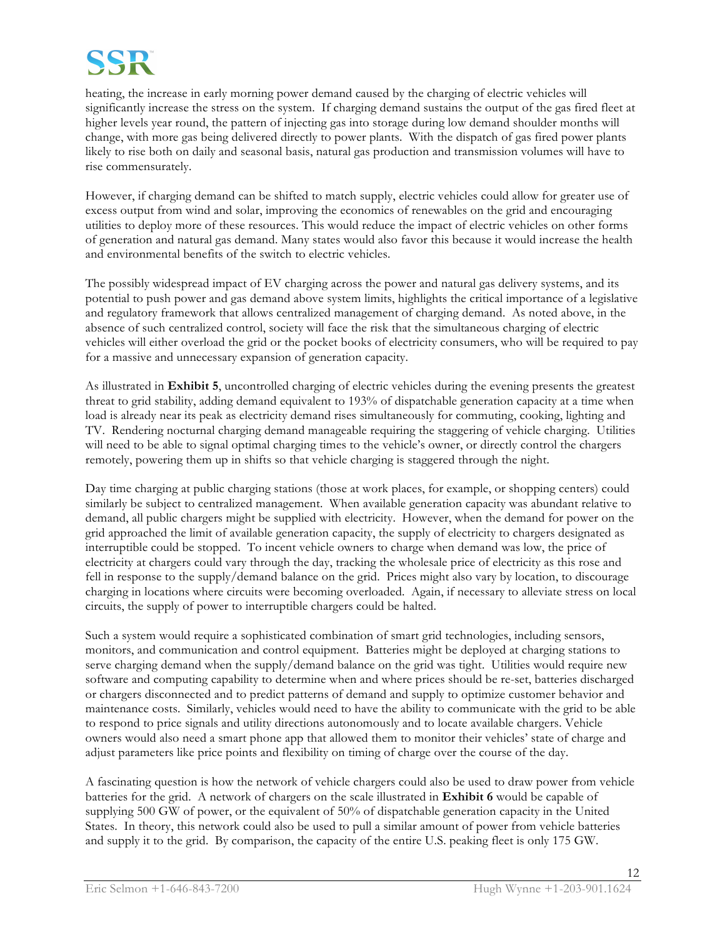

heating, the increase in early morning power demand caused by the charging of electric vehicles will significantly increase the stress on the system. If charging demand sustains the output of the gas fired fleet at higher levels year round, the pattern of injecting gas into storage during low demand shoulder months will change, with more gas being delivered directly to power plants. With the dispatch of gas fired power plants likely to rise both on daily and seasonal basis, natural gas production and transmission volumes will have to rise commensurately.

However, if charging demand can be shifted to match supply, electric vehicles could allow for greater use of excess output from wind and solar, improving the economics of renewables on the grid and encouraging utilities to deploy more of these resources. This would reduce the impact of electric vehicles on other forms of generation and natural gas demand. Many states would also favor this because it would increase the health and environmental benefits of the switch to electric vehicles.

The possibly widespread impact of EV charging across the power and natural gas delivery systems, and its potential to push power and gas demand above system limits, highlights the critical importance of a legislative and regulatory framework that allows centralized management of charging demand. As noted above, in the absence of such centralized control, society will face the risk that the simultaneous charging of electric vehicles will either overload the grid or the pocket books of electricity consumers, who will be required to pay for a massive and unnecessary expansion of generation capacity.

As illustrated in **Exhibit 5**, uncontrolled charging of electric vehicles during the evening presents the greatest threat to grid stability, adding demand equivalent to 193% of dispatchable generation capacity at a time when load is already near its peak as electricity demand rises simultaneously for commuting, cooking, lighting and TV. Rendering nocturnal charging demand manageable requiring the staggering of vehicle charging. Utilities will need to be able to signal optimal charging times to the vehicle's owner, or directly control the chargers remotely, powering them up in shifts so that vehicle charging is staggered through the night.

Day time charging at public charging stations (those at work places, for example, or shopping centers) could similarly be subject to centralized management. When available generation capacity was abundant relative to demand, all public chargers might be supplied with electricity. However, when the demand for power on the grid approached the limit of available generation capacity, the supply of electricity to chargers designated as interruptible could be stopped. To incent vehicle owners to charge when demand was low, the price of electricity at chargers could vary through the day, tracking the wholesale price of electricity as this rose and fell in response to the supply/demand balance on the grid. Prices might also vary by location, to discourage charging in locations where circuits were becoming overloaded. Again, if necessary to alleviate stress on local circuits, the supply of power to interruptible chargers could be halted.

Such a system would require a sophisticated combination of smart grid technologies, including sensors, monitors, and communication and control equipment. Batteries might be deployed at charging stations to serve charging demand when the supply/demand balance on the grid was tight. Utilities would require new software and computing capability to determine when and where prices should be re-set, batteries discharged or chargers disconnected and to predict patterns of demand and supply to optimize customer behavior and maintenance costs. Similarly, vehicles would need to have the ability to communicate with the grid to be able to respond to price signals and utility directions autonomously and to locate available chargers. Vehicle owners would also need a smart phone app that allowed them to monitor their vehicles' state of charge and adjust parameters like price points and flexibility on timing of charge over the course of the day.

A fascinating question is how the network of vehicle chargers could also be used to draw power from vehicle batteries for the grid. A network of chargers on the scale illustrated in **Exhibit 6** would be capable of supplying 500 GW of power, or the equivalent of 50% of dispatchable generation capacity in the United States. In theory, this network could also be used to pull a similar amount of power from vehicle batteries and supply it to the grid. By comparison, the capacity of the entire U.S. peaking fleet is only 175 GW.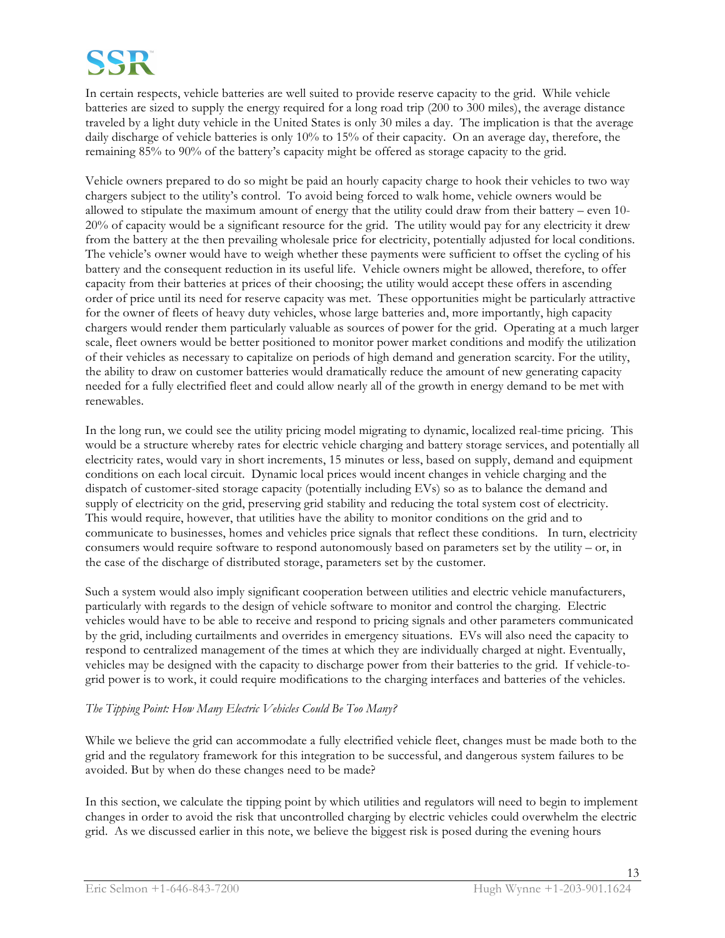

In certain respects, vehicle batteries are well suited to provide reserve capacity to the grid. While vehicle batteries are sized to supply the energy required for a long road trip (200 to 300 miles), the average distance traveled by a light duty vehicle in the United States is only 30 miles a day. The implication is that the average daily discharge of vehicle batteries is only 10% to 15% of their capacity. On an average day, therefore, the remaining 85% to 90% of the battery's capacity might be offered as storage capacity to the grid.

Vehicle owners prepared to do so might be paid an hourly capacity charge to hook their vehicles to two way chargers subject to the utility's control. To avoid being forced to walk home, vehicle owners would be allowed to stipulate the maximum amount of energy that the utility could draw from their battery – even 10- 20% of capacity would be a significant resource for the grid. The utility would pay for any electricity it drew from the battery at the then prevailing wholesale price for electricity, potentially adjusted for local conditions. The vehicle's owner would have to weigh whether these payments were sufficient to offset the cycling of his battery and the consequent reduction in its useful life. Vehicle owners might be allowed, therefore, to offer capacity from their batteries at prices of their choosing; the utility would accept these offers in ascending order of price until its need for reserve capacity was met. These opportunities might be particularly attractive for the owner of fleets of heavy duty vehicles, whose large batteries and, more importantly, high capacity chargers would render them particularly valuable as sources of power for the grid. Operating at a much larger scale, fleet owners would be better positioned to monitor power market conditions and modify the utilization of their vehicles as necessary to capitalize on periods of high demand and generation scarcity. For the utility, the ability to draw on customer batteries would dramatically reduce the amount of new generating capacity needed for a fully electrified fleet and could allow nearly all of the growth in energy demand to be met with renewables.

In the long run, we could see the utility pricing model migrating to dynamic, localized real-time pricing. This would be a structure whereby rates for electric vehicle charging and battery storage services, and potentially all electricity rates, would vary in short increments, 15 minutes or less, based on supply, demand and equipment conditions on each local circuit. Dynamic local prices would incent changes in vehicle charging and the dispatch of customer-sited storage capacity (potentially including EVs) so as to balance the demand and supply of electricity on the grid, preserving grid stability and reducing the total system cost of electricity. This would require, however, that utilities have the ability to monitor conditions on the grid and to communicate to businesses, homes and vehicles price signals that reflect these conditions. In turn, electricity consumers would require software to respond autonomously based on parameters set by the utility – or, in the case of the discharge of distributed storage, parameters set by the customer.

Such a system would also imply significant cooperation between utilities and electric vehicle manufacturers, particularly with regards to the design of vehicle software to monitor and control the charging. Electric vehicles would have to be able to receive and respond to pricing signals and other parameters communicated by the grid, including curtailments and overrides in emergency situations. EVs will also need the capacity to respond to centralized management of the times at which they are individually charged at night. Eventually, vehicles may be designed with the capacity to discharge power from their batteries to the grid. If vehicle-togrid power is to work, it could require modifications to the charging interfaces and batteries of the vehicles.

### *The Tipping Point: How Many Electric Vehicles Could Be Too Many?*

While we believe the grid can accommodate a fully electrified vehicle fleet, changes must be made both to the grid and the regulatory framework for this integration to be successful, and dangerous system failures to be avoided. But by when do these changes need to be made?

In this section, we calculate the tipping point by which utilities and regulators will need to begin to implement changes in order to avoid the risk that uncontrolled charging by electric vehicles could overwhelm the electric grid. As we discussed earlier in this note, we believe the biggest risk is posed during the evening hours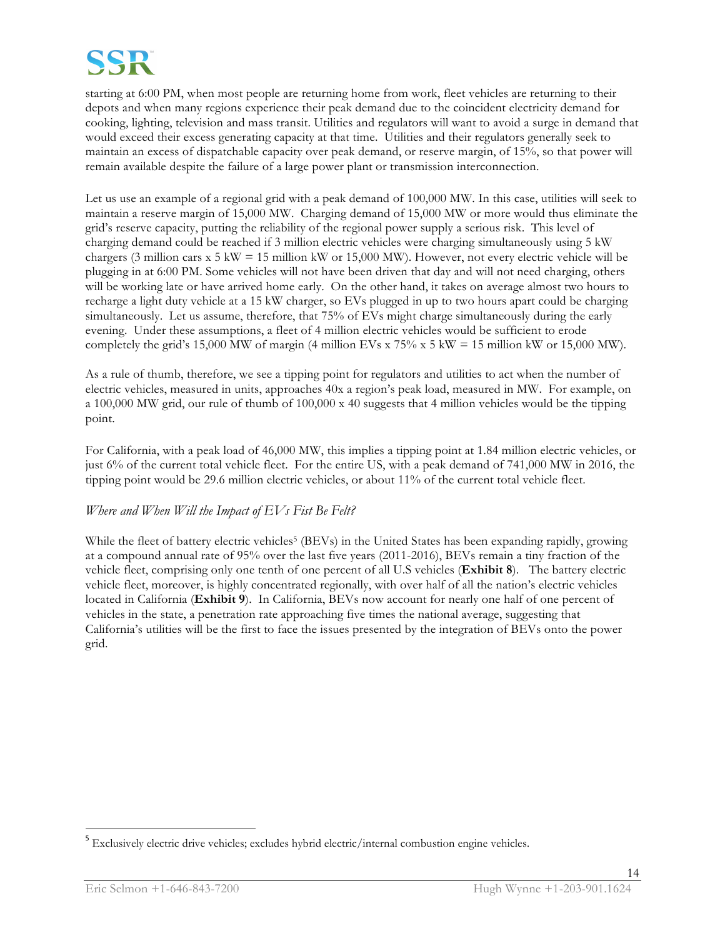

starting at 6:00 PM, when most people are returning home from work, fleet vehicles are returning to their depots and when many regions experience their peak demand due to the coincident electricity demand for cooking, lighting, television and mass transit. Utilities and regulators will want to avoid a surge in demand that would exceed their excess generating capacity at that time. Utilities and their regulators generally seek to maintain an excess of dispatchable capacity over peak demand, or reserve margin, of 15%, so that power will remain available despite the failure of a large power plant or transmission interconnection.

Let us use an example of a regional grid with a peak demand of 100,000 MW. In this case, utilities will seek to maintain a reserve margin of 15,000 MW. Charging demand of 15,000 MW or more would thus eliminate the grid's reserve capacity, putting the reliability of the regional power supply a serious risk. This level of charging demand could be reached if 3 million electric vehicles were charging simultaneously using 5 kW chargers (3 million cars  $x$  5 kW = 15 million kW or 15,000 MW). However, not every electric vehicle will be plugging in at 6:00 PM. Some vehicles will not have been driven that day and will not need charging, others will be working late or have arrived home early. On the other hand, it takes on average almost two hours to recharge a light duty vehicle at a 15 kW charger, so EVs plugged in up to two hours apart could be charging simultaneously. Let us assume, therefore, that 75% of EVs might charge simultaneously during the early evening. Under these assumptions, a fleet of 4 million electric vehicles would be sufficient to erode completely the grid's 15,000 MW of margin (4 million EVs x  $75\%$  x 5 kW = 15 million kW or 15,000 MW).

As a rule of thumb, therefore, we see a tipping point for regulators and utilities to act when the number of electric vehicles, measured in units, approaches 40x a region's peak load, measured in MW. For example, on a 100,000 MW grid, our rule of thumb of 100,000 x 40 suggests that 4 million vehicles would be the tipping point.

For California, with a peak load of 46,000 MW, this implies a tipping point at 1.84 million electric vehicles, or just 6% of the current total vehicle fleet. For the entire US, with a peak demand of 741,000 MW in 2016, the tipping point would be 29.6 million electric vehicles, or about 11% of the current total vehicle fleet.

# *Where and When Will the Impact of EVs Fist Be Felt?*

While the fleet of battery electric vehicles<sup>5</sup> (BEVs) in the United States has been expanding rapidly, growing at a compound annual rate of 95% over the last five years (2011-2016), BEVs remain a tiny fraction of the vehicle fleet, comprising only one tenth of one percent of all U.S vehicles (**Exhibit 8**). The battery electric vehicle fleet, moreover, is highly concentrated regionally, with over half of all the nation's electric vehicles located in California (**Exhibit 9**). In California, BEVs now account for nearly one half of one percent of vehicles in the state, a penetration rate approaching five times the national average, suggesting that California's utilities will be the first to face the issues presented by the integration of BEVs onto the power grid.

<sup>&</sup>lt;sup>5</sup> Exclusively electric drive vehicles; excludes hybrid electric/internal combustion engine vehicles.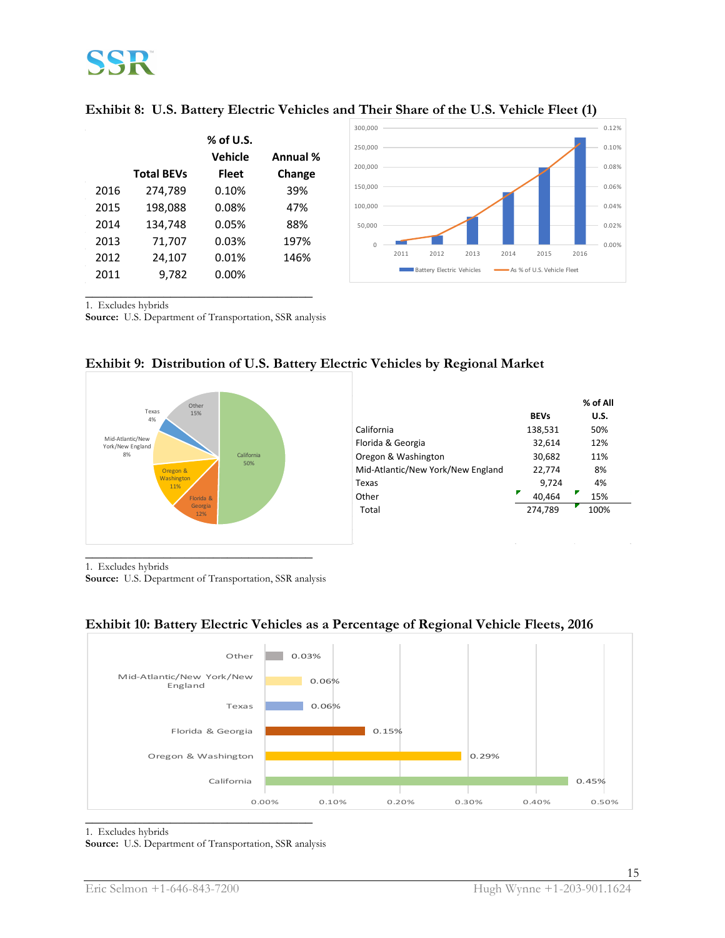

|      |                   |                        |          | 300,000  |      |                           |      |                          |                            |      | 0.12% |
|------|-------------------|------------------------|----------|----------|------|---------------------------|------|--------------------------|----------------------------|------|-------|
|      |                   | $%$ of U.S.<br>Vehicle | Annual % | 250,000  |      |                           |      |                          |                            |      | 0.10% |
|      | <b>Total BEVs</b> | <b>Fleet</b>           | Change   | 200,000  |      |                           |      |                          |                            |      | 0.08% |
| 2016 | 274,789           | 0.10%                  | 39%      | 150,000  |      |                           |      |                          |                            |      | 0.06% |
| 2015 | 198,088           | 0.08%                  | 47%      | 100,000  |      |                           |      |                          |                            |      | 0.04% |
| 2014 | 134,748           | 0.05%                  | 88%      | 50,000   |      |                           |      |                          |                            |      | 0.02% |
| 2013 | 71,707            | 0.03%                  | 197%     | $\Omega$ |      |                           |      |                          |                            |      | 0.00% |
| 2012 | 24,107            | 0.01%                  | 146%     |          | 2011 | 2012                      | 2013 | 2014                     | 2015                       | 2016 |       |
| 2011 | 9,782             | 0.00%                  |          |          |      | Battery Electric Vehicles |      | $\overline{\phantom{a}}$ | As % of U.S. Vehicle Fleet |      |       |
|      |                   |                        |          |          |      |                           |      |                          |                            |      |       |

| Exhibit 8: U.S. Battery Electric Vehicles and Their Share of the U.S. Vehicle Fleet (1) |  |  |  |  |  |  |
|-----------------------------------------------------------------------------------------|--|--|--|--|--|--|
|                                                                                         |  |  |  |  |  |  |

1. Excludes hybrids

**Source:** U.S. Department of Transportation, SSR analysis



# **Exhibit 9: Distribution of U.S. Battery Electric Vehicles by Regional Market**

1. Excludes hybrids

**Source:** U.S. Department of Transportation, SSR analysis



# **Exhibit 10: Battery Electric Vehicles as a Percentage of Regional Vehicle Fleets, 2016**

#### 1. Excludes hybrids

**Source:** U.S. Department of Transportation, SSR analysis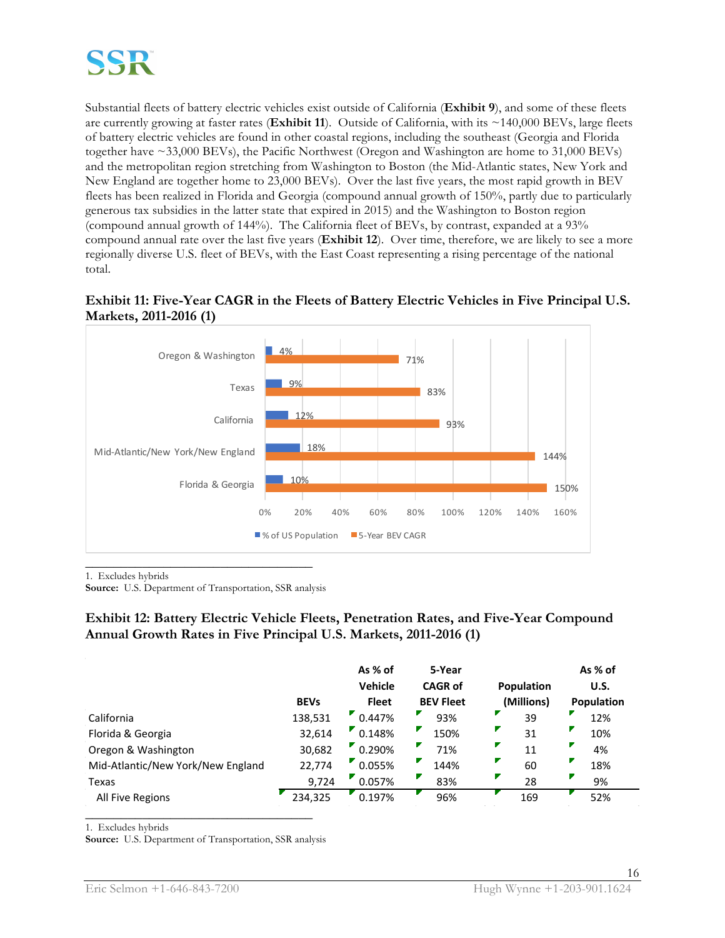

Substantial fleets of battery electric vehicles exist outside of California (**Exhibit 9**), and some of these fleets are currently growing at faster rates (**Exhibit 11**). Outside of California, with its ~140,000 BEVs, large fleets of battery electric vehicles are found in other coastal regions, including the southeast (Georgia and Florida together have ~33,000 BEVs), the Pacific Northwest (Oregon and Washington are home to 31,000 BEVs) and the metropolitan region stretching from Washington to Boston (the Mid-Atlantic states, New York and New England are together home to 23,000 BEVs). Over the last five years, the most rapid growth in BEV fleets has been realized in Florida and Georgia (compound annual growth of 150%, partly due to particularly generous tax subsidies in the latter state that expired in 2015) and the Washington to Boston region (compound annual growth of 144%). The California fleet of BEVs, by contrast, expanded at a 93% compound annual rate over the last five years (**Exhibit 12**). Over time, therefore, we are likely to see a more regionally diverse U.S. fleet of BEVs, with the East Coast representing a rising percentage of the national total.



# **Exhibit 11: Five-Year CAGR in the Fleets of Battery Electric Vehicles in Five Principal U.S. Markets, 2011-2016 (1)**

**\_\_\_\_\_\_\_\_\_\_\_\_\_\_\_\_\_\_\_\_\_\_\_\_\_\_\_\_\_\_\_\_** 1. Excludes hybrids

**Source:** U.S. Department of Transportation, SSR analysis

# **Exhibit 12: Battery Electric Vehicle Fleets, Penetration Rates, and Five-Year Compound Annual Growth Rates in Five Principal U.S. Markets, 2011-2016 (1)**

|                                   | <b>BEVs</b> | As % of<br>Vehicle<br><b>Fleet</b> | 5-Year<br><b>CAGR of</b><br><b>BEV Fleet</b> | <b>Population</b><br>(Millions) | As % of<br>U.S.<br><b>Population</b> |
|-----------------------------------|-------------|------------------------------------|----------------------------------------------|---------------------------------|--------------------------------------|
| California                        | 138,531     | 0.447%                             | 93%                                          | 39                              | 12%                                  |
| Florida & Georgia                 | 32,614      | 0.148%                             | 150%                                         | 31                              | 10%                                  |
| Oregon & Washington               | 30,682      | 0.290%                             | 71%                                          | 11                              | 4%                                   |
| Mid-Atlantic/New York/New England | 22,774      | 0.055%                             | 144%                                         | 60                              | 18%                                  |
| Texas                             | 9,724       | 0.057%                             | 83%                                          | 28                              | 9%                                   |
| All Five Regions                  | 234,325     | 0.197%                             | 96%                                          | 169                             | 52%                                  |

1. Excludes hybrids

**Source:** U.S. Department of Transportation, SSR analysis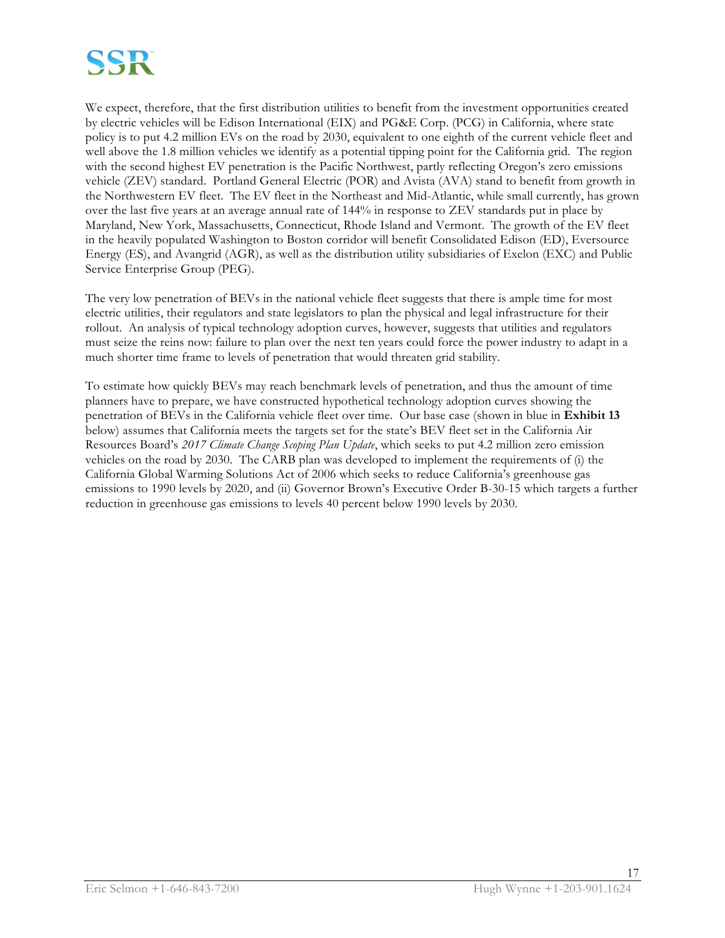

We expect, therefore, that the first distribution utilities to benefit from the investment opportunities created by electric vehicles will be Edison International (EIX) and PG&E Corp. (PCG) in California, where state policy is to put 4.2 million EVs on the road by 2030, equivalent to one eighth of the current vehicle fleet and well above the 1.8 million vehicles we identify as a potential tipping point for the California grid. The region with the second highest EV penetration is the Pacific Northwest, partly reflecting Oregon's zero emissions vehicle (ZEV) standard. Portland General Electric (POR) and Avista (AVA) stand to benefit from growth in the Northwestern EV fleet. The EV fleet in the Northeast and Mid-Atlantic, while small currently, has grown over the last five years at an average annual rate of 144% in response to ZEV standards put in place by Maryland, New York, Massachusetts, Connecticut, Rhode Island and Vermont. The growth of the EV fleet in the heavily populated Washington to Boston corridor will benefit Consolidated Edison (ED), Eversource Energy (ES), and Avangrid (AGR), as well as the distribution utility subsidiaries of Exelon (EXC) and Public Service Enterprise Group (PEG).

The very low penetration of BEVs in the national vehicle fleet suggests that there is ample time for most electric utilities, their regulators and state legislators to plan the physical and legal infrastructure for their rollout. An analysis of typical technology adoption curves, however, suggests that utilities and regulators must seize the reins now: failure to plan over the next ten years could force the power industry to adapt in a much shorter time frame to levels of penetration that would threaten grid stability.

To estimate how quickly BEVs may reach benchmark levels of penetration, and thus the amount of time planners have to prepare, we have constructed hypothetical technology adoption curves showing the penetration of BEVs in the California vehicle fleet over time. Our base case (shown in blue in **Exhibit 13** below) assumes that California meets the targets set for the state's BEV fleet set in the California Air Resources Board's *2017 Climate Change Scoping Plan Update*, which seeks to put 4.2 million zero emission vehicles on the road by 2030. The CARB plan was developed to implement the requirements of (i) the California Global Warming Solutions Act of 2006 which seeks to reduce California's greenhouse gas emissions to 1990 levels by 2020, and (ii) Governor Brown's Executive Order B-30-15 which targets a further reduction in greenhouse gas emissions to levels 40 percent below 1990 levels by 2030.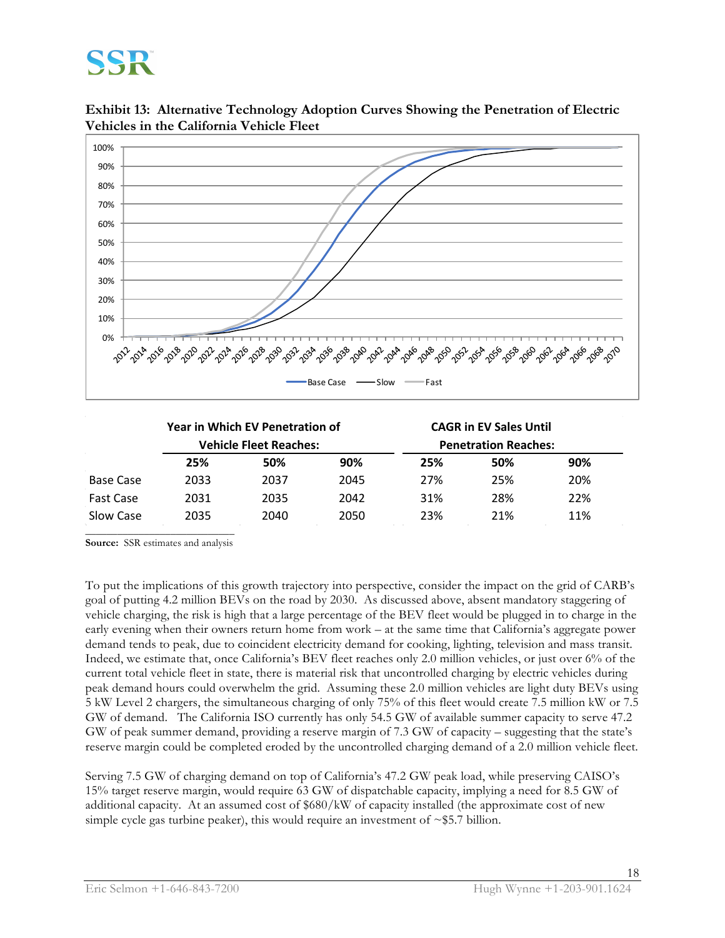# SSR

**Exhibit 13: Alternative Technology Adoption Curves Showing the Penetration of Electric Vehicles in the California Vehicle Fleet**



|                  |      | <b>Year in Which EV Penetration of</b> |      | <b>CAGR in EV Sales Until</b> |                             |     |  |
|------------------|------|----------------------------------------|------|-------------------------------|-----------------------------|-----|--|
|                  |      | <b>Vehicle Fleet Reaches:</b>          |      |                               | <b>Penetration Reaches:</b> |     |  |
|                  | 25%  | 50%                                    | 90%  | 25%                           | 50%                         | 90% |  |
| Base Case        | 2033 | 2037                                   | 2045 | 27%                           | 25%                         | 20% |  |
| <b>Fast Case</b> | 2031 | 2035                                   | 2042 | 31%                           | 28%                         | 22% |  |
| Slow Case        | 2035 | 2040                                   | 2050 | 23%                           | 21%                         | 11% |  |

**\_\_\_\_\_\_\_\_\_\_\_\_\_\_\_\_\_\_\_\_\_\_\_\_\_\_\_\_ Source:** SSR estimates and analysis

To put the implications of this growth trajectory into perspective, consider the impact on the grid of CARB's goal of putting 4.2 million BEVs on the road by 2030. As discussed above, absent mandatory staggering of vehicle charging, the risk is high that a large percentage of the BEV fleet would be plugged in to charge in the early evening when their owners return home from work – at the same time that California's aggregate power demand tends to peak, due to coincident electricity demand for cooking, lighting, television and mass transit. Indeed, we estimate that, once California's BEV fleet reaches only 2.0 million vehicles, or just over 6% of the current total vehicle fleet in state, there is material risk that uncontrolled charging by electric vehicles during peak demand hours could overwhelm the grid. Assuming these 2.0 million vehicles are light duty BEVs using 5 kW Level 2 chargers, the simultaneous charging of only 75% of this fleet would create 7.5 million kW or 7.5 GW of demand. The California ISO currently has only 54.5 GW of available summer capacity to serve 47.2 GW of peak summer demand, providing a reserve margin of 7.3 GW of capacity – suggesting that the state's reserve margin could be completed eroded by the uncontrolled charging demand of a 2.0 million vehicle fleet.

Serving 7.5 GW of charging demand on top of California's 47.2 GW peak load, while preserving CAISO's 15% target reserve margin, would require 63 GW of dispatchable capacity, implying a need for 8.5 GW of additional capacity. At an assumed cost of \$680/kW of capacity installed (the approximate cost of new simple cycle gas turbine peaker), this would require an investment of  $\sim$ \$5.7 billion.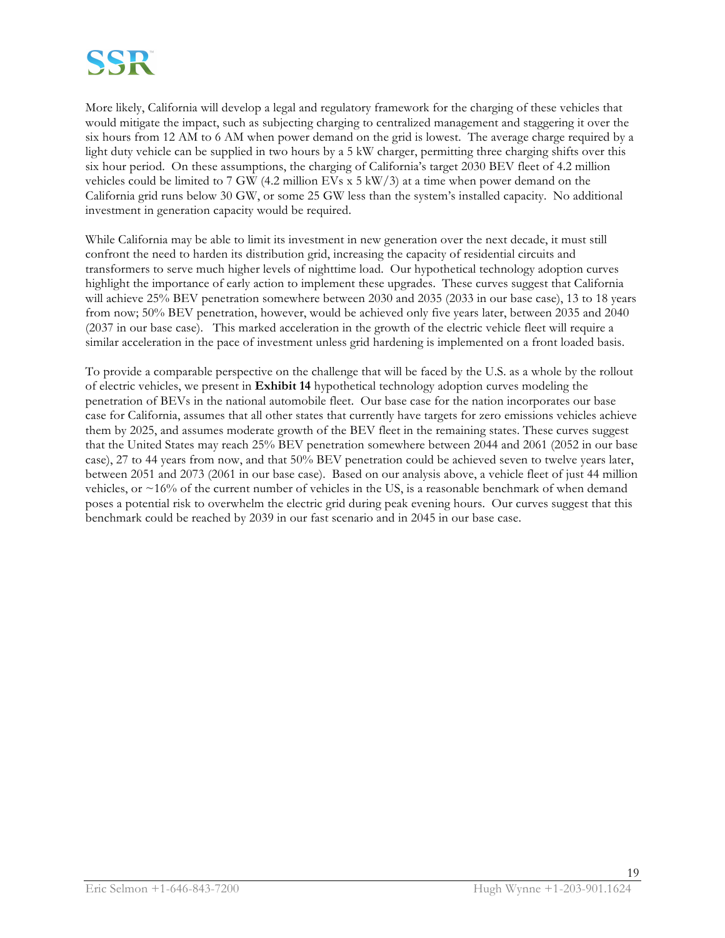

More likely, California will develop a legal and regulatory framework for the charging of these vehicles that would mitigate the impact, such as subjecting charging to centralized management and staggering it over the six hours from 12 AM to 6 AM when power demand on the grid is lowest. The average charge required by a light duty vehicle can be supplied in two hours by a 5 kW charger, permitting three charging shifts over this six hour period. On these assumptions, the charging of California's target 2030 BEV fleet of 4.2 million vehicles could be limited to 7 GW (4.2 million EVs x 5 kW/3) at a time when power demand on the California grid runs below 30 GW, or some 25 GW less than the system's installed capacity. No additional investment in generation capacity would be required.

While California may be able to limit its investment in new generation over the next decade, it must still confront the need to harden its distribution grid, increasing the capacity of residential circuits and transformers to serve much higher levels of nighttime load. Our hypothetical technology adoption curves highlight the importance of early action to implement these upgrades. These curves suggest that California will achieve 25% BEV penetration somewhere between 2030 and 2035 (2033 in our base case), 13 to 18 years from now; 50% BEV penetration, however, would be achieved only five years later, between 2035 and 2040 (2037 in our base case). This marked acceleration in the growth of the electric vehicle fleet will require a similar acceleration in the pace of investment unless grid hardening is implemented on a front loaded basis.

To provide a comparable perspective on the challenge that will be faced by the U.S. as a whole by the rollout of electric vehicles, we present in **Exhibit 14** hypothetical technology adoption curves modeling the penetration of BEVs in the national automobile fleet. Our base case for the nation incorporates our base case for California, assumes that all other states that currently have targets for zero emissions vehicles achieve them by 2025, and assumes moderate growth of the BEV fleet in the remaining states. These curves suggest that the United States may reach 25% BEV penetration somewhere between 2044 and 2061 (2052 in our base case), 27 to 44 years from now, and that 50% BEV penetration could be achieved seven to twelve years later, between 2051 and 2073 (2061 in our base case). Based on our analysis above, a vehicle fleet of just 44 million vehicles, or ~16% of the current number of vehicles in the US, is a reasonable benchmark of when demand poses a potential risk to overwhelm the electric grid during peak evening hours. Our curves suggest that this benchmark could be reached by 2039 in our fast scenario and in 2045 in our base case.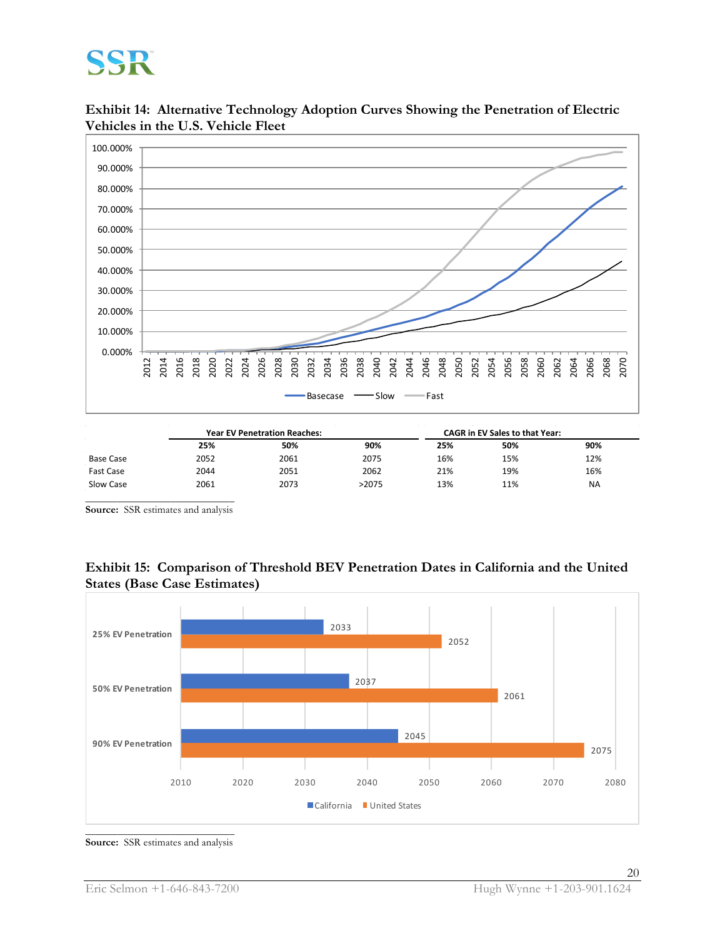# SSR

**Exhibit 14: Alternative Technology Adoption Curves Showing the Penetration of Electric Vehicles in the U.S. Vehicle Fleet**



|                  | <b>Year EV Penetration Reaches:</b> |      |       | <b>CAGR</b> in EV Sales to that Year: |     |           |
|------------------|-------------------------------------|------|-------|---------------------------------------|-----|-----------|
|                  | 25%                                 | 50%  | 90%   | 25%                                   | 50% | 90%       |
| <b>Base Case</b> | 2052                                | 2061 | 2075  | 16%                                   | 15% | 12%       |
| <b>Fast Case</b> | 2044                                | 2051 | 2062  | 21%                                   | 19% | 16%       |
| Slow Case        | 2061                                | 2073 | >2075 | 13%                                   | 11% | <b>NA</b> |
|                  |                                     |      |       |                                       |     |           |

**Source:** SSR estimates and analysis

# **Exhibit 15: Comparison of Threshold BEV Penetration Dates in California and the United States (Base Case Estimates)**



**Source:** SSR estimates and analysis